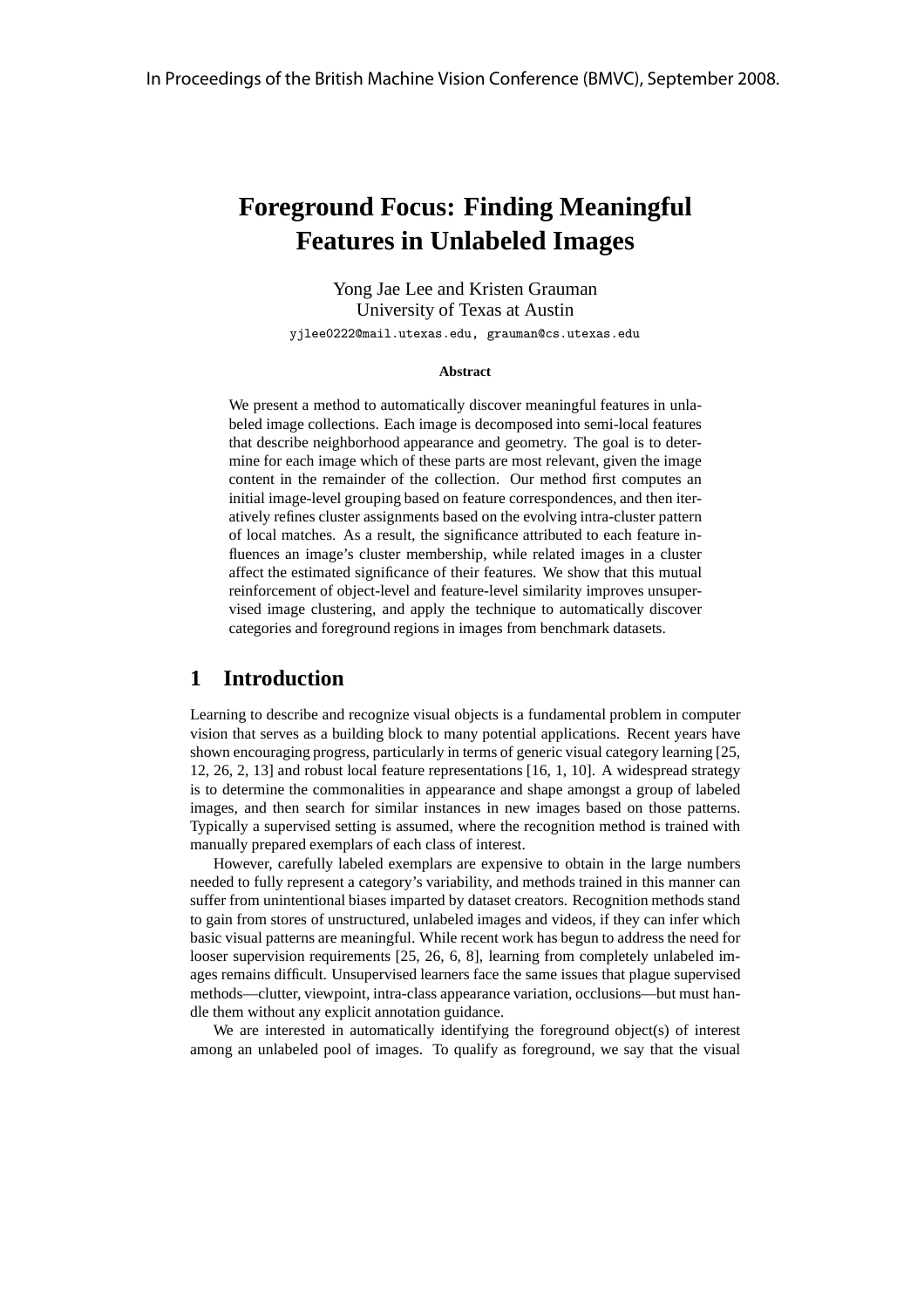# **Foreground Focus: Finding Meaningful Features in Unlabeled Images**

Yong Jae Lee and Kristen Grauman University of Texas at Austin yjlee0222@mail.utexas.edu, grauman@cs.utexas.edu

#### **Abstract**

We present a method to automatically discover meaningful features in unlabeled image collections. Each image is decomposed into semi-local features that describe neighborhood appearance and geometry. The goal is to determine for each image which of these parts are most relevant, given the image content in the remainder of the collection. Our method first computes an initial image-level grouping based on feature correspondences, and then iteratively refines cluster assignments based on the evolving intra-cluster pattern of local matches. As a result, the significance attributed to each feature influences an image's cluster membership, while related images in a cluster affect the estimated significance of their features. We show that this mutual reinforcement of object-level and feature-level similarity improves unsupervised image clustering, and apply the technique to automatically discover categories and foreground regions in images from benchmark datasets.

## **1 Introduction**

Learning to describe and recognize visual objects is a fundamental problem in computer vision that serves as a building block to many potential applications. Recent years have shown encouraging progress, particularly in terms of generic visual category learning [25, 12, 26, 2, 13] and robust local feature representations [16, 1, 10]. A widespread strategy is to determine the commonalities in appearance and shape amongst a group of labeled images, and then search for similar instances in new images based on those patterns. Typically a supervised setting is assumed, where the recognition method is trained with manually prepared exemplars of each class of interest.

However, carefully labeled exemplars are expensive to obtain in the large numbers needed to fully represent a category's variability, and methods trained in this manner can suffer from unintentional biases imparted by dataset creators. Recognition methods stand to gain from stores of unstructured, unlabeled images and videos, if they can infer which basic visual patterns are meaningful. While recent work has begun to address the need for looser supervision requirements [25, 26, 6, 8], learning from completely unlabeled images remains difficult. Unsupervised learners face the same issues that plague supervised methods—clutter, viewpoint, intra-class appearance variation, occlusions—but must handle them without any explicit annotation guidance.

We are interested in automatically identifying the foreground object(s) of interest among an unlabeled pool of images. To qualify as foreground, we say that the visual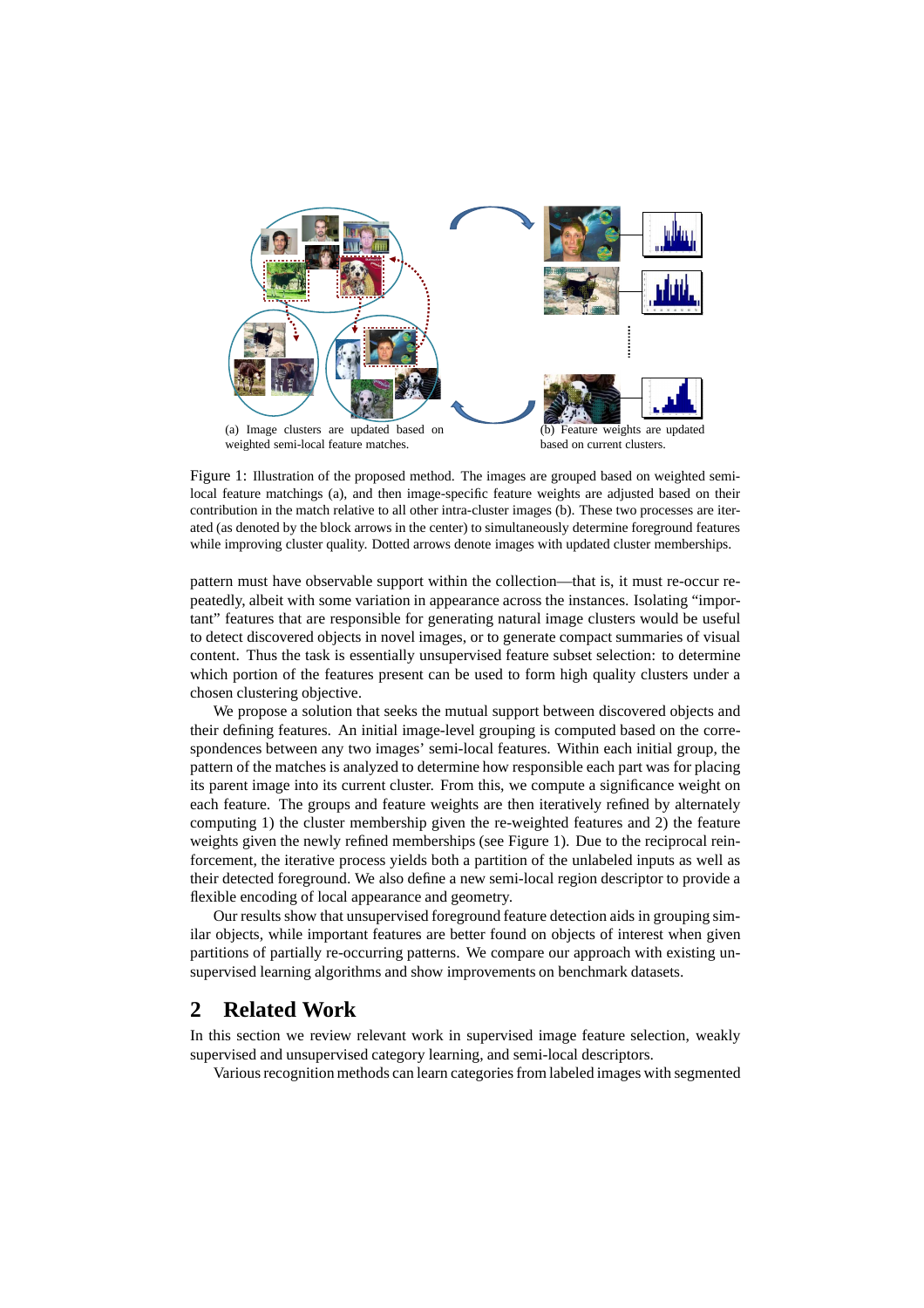

Figure 1: Illustration of the proposed method. The images are grouped based on weighted semilocal feature matchings (a), and then image-specific feature weights are adjusted based on their contribution in the match relative to all other intra-cluster images (b). These two processes are iterated (as denoted by the block arrows in the center) to simultaneously determine foreground features while improving cluster quality. Dotted arrows denote images with updated cluster memberships.

pattern must have observable support within the collection—that is, it must re-occur repeatedly, albeit with some variation in appearance across the instances. Isolating "important" features that are responsible for generating natural image clusters would be useful to detect discovered objects in novel images, or to generate compact summaries of visual content. Thus the task is essentially unsupervised feature subset selection: to determine which portion of the features present can be used to form high quality clusters under a chosen clustering objective.

We propose a solution that seeks the mutual support between discovered objects and their defining features. An initial image-level grouping is computed based on the correspondences between any two images' semi-local features. Within each initial group, the pattern of the matches is analyzed to determine how responsible each part was for placing its parent image into its current cluster. From this, we compute a significance weight on each feature. The groups and feature weights are then iteratively refined by alternately computing 1) the cluster membership given the re-weighted features and 2) the feature weights given the newly refined memberships (see Figure 1). Due to the reciprocal reinforcement, the iterative process yields both a partition of the unlabeled inputs as well as their detected foreground. We also define a new semi-local region descriptor to provide a flexible encoding of local appearance and geometry.

Our results show that unsupervised foreground feature detection aids in grouping similar objects, while important features are better found on objects of interest when given partitions of partially re-occurring patterns. We compare our approach with existing unsupervised learning algorithms and show improvements on benchmark datasets.

# **2 Related Work**

In this section we review relevant work in supervised image feature selection, weakly supervised and unsupervised category learning, and semi-local descriptors.

Various recognition methods can learn categories from labeled images with segmented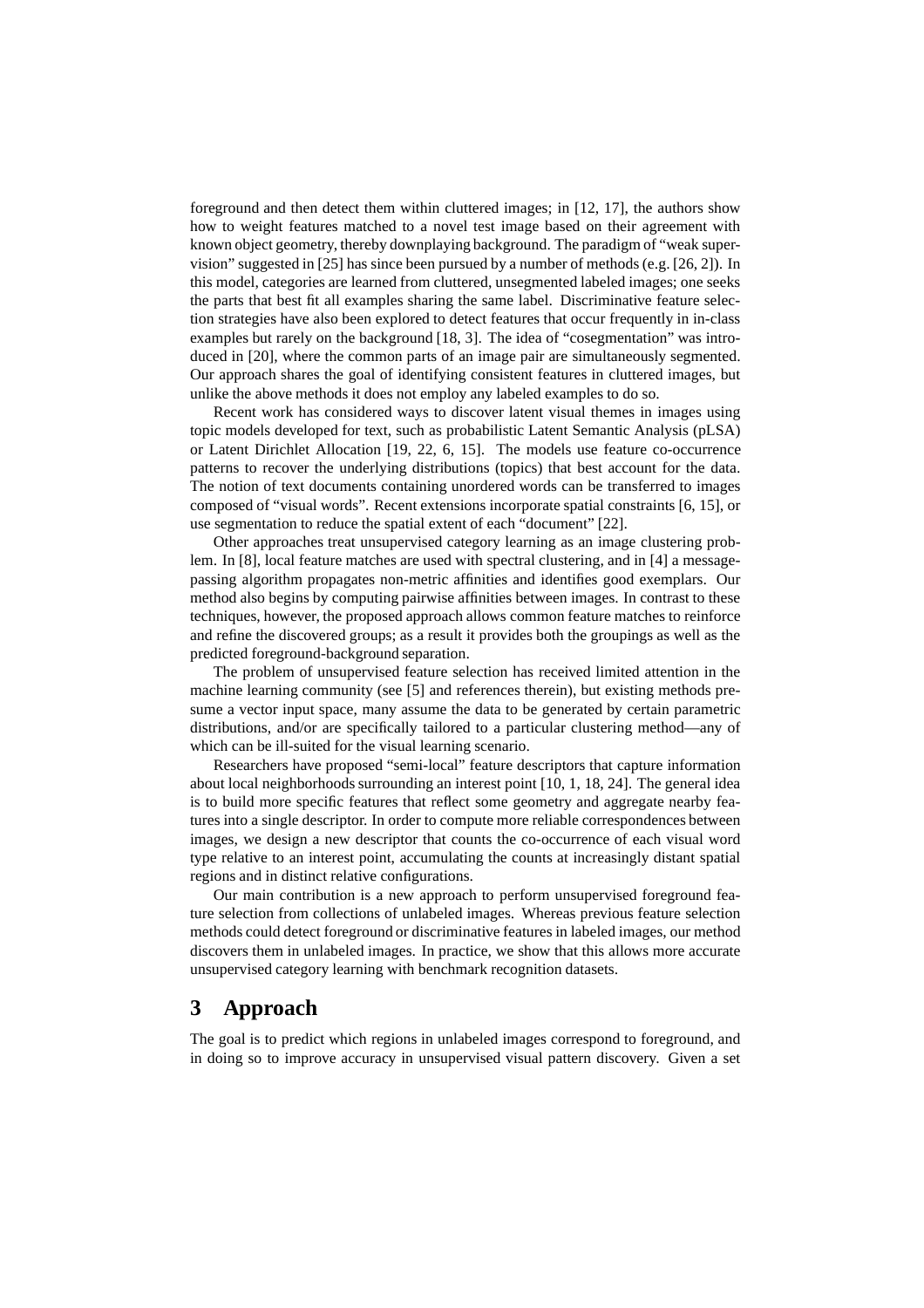foreground and then detect them within cluttered images; in [12, 17], the authors show how to weight features matched to a novel test image based on their agreement with known object geometry, thereby downplaying background. The paradigm of "weak supervision" suggested in [25] has since been pursued by a number of methods (e.g. [26, 2]). In this model, categories are learned from cluttered, unsegmented labeled images; one seeks the parts that best fit all examples sharing the same label. Discriminative feature selection strategies have also been explored to detect features that occur frequently in in-class examples but rarely on the background [18, 3]. The idea of "cosegmentation" was introduced in [20], where the common parts of an image pair are simultaneously segmented. Our approach shares the goal of identifying consistent features in cluttered images, but unlike the above methods it does not employ any labeled examples to do so.

Recent work has considered ways to discover latent visual themes in images using topic models developed for text, such as probabilistic Latent Semantic Analysis (pLSA) or Latent Dirichlet Allocation [19, 22, 6, 15]. The models use feature co-occurrence patterns to recover the underlying distributions (topics) that best account for the data. The notion of text documents containing unordered words can be transferred to images composed of "visual words". Recent extensions incorporate spatial constraints [6, 15], or use segmentation to reduce the spatial extent of each "document" [22].

Other approaches treat unsupervised category learning as an image clustering problem. In [8], local feature matches are used with spectral clustering, and in [4] a messagepassing algorithm propagates non-metric affinities and identifies good exemplars. Our method also begins by computing pairwise affinities between images. In contrast to these techniques, however, the proposed approach allows common feature matches to reinforce and refine the discovered groups; as a result it provides both the groupings as well as the predicted foreground-background separation.

The problem of unsupervised feature selection has received limited attention in the machine learning community (see [5] and references therein), but existing methods presume a vector input space, many assume the data to be generated by certain parametric distributions, and/or are specifically tailored to a particular clustering method—any of which can be ill-suited for the visual learning scenario.

Researchers have proposed "semi-local" feature descriptors that capture information about local neighborhoods surrounding an interest point [10, 1, 18, 24]. The general idea is to build more specific features that reflect some geometry and aggregate nearby features into a single descriptor. In order to compute more reliable correspondences between images, we design a new descriptor that counts the co-occurrence of each visual word type relative to an interest point, accumulating the counts at increasingly distant spatial regions and in distinct relative configurations.

Our main contribution is a new approach to perform unsupervised foreground feature selection from collections of unlabeled images. Whereas previous feature selection methods could detect foreground or discriminative features in labeled images, our method discovers them in unlabeled images. In practice, we show that this allows more accurate unsupervised category learning with benchmark recognition datasets.

# **3 Approach**

The goal is to predict which regions in unlabeled images correspond to foreground, and in doing so to improve accuracy in unsupervised visual pattern discovery. Given a set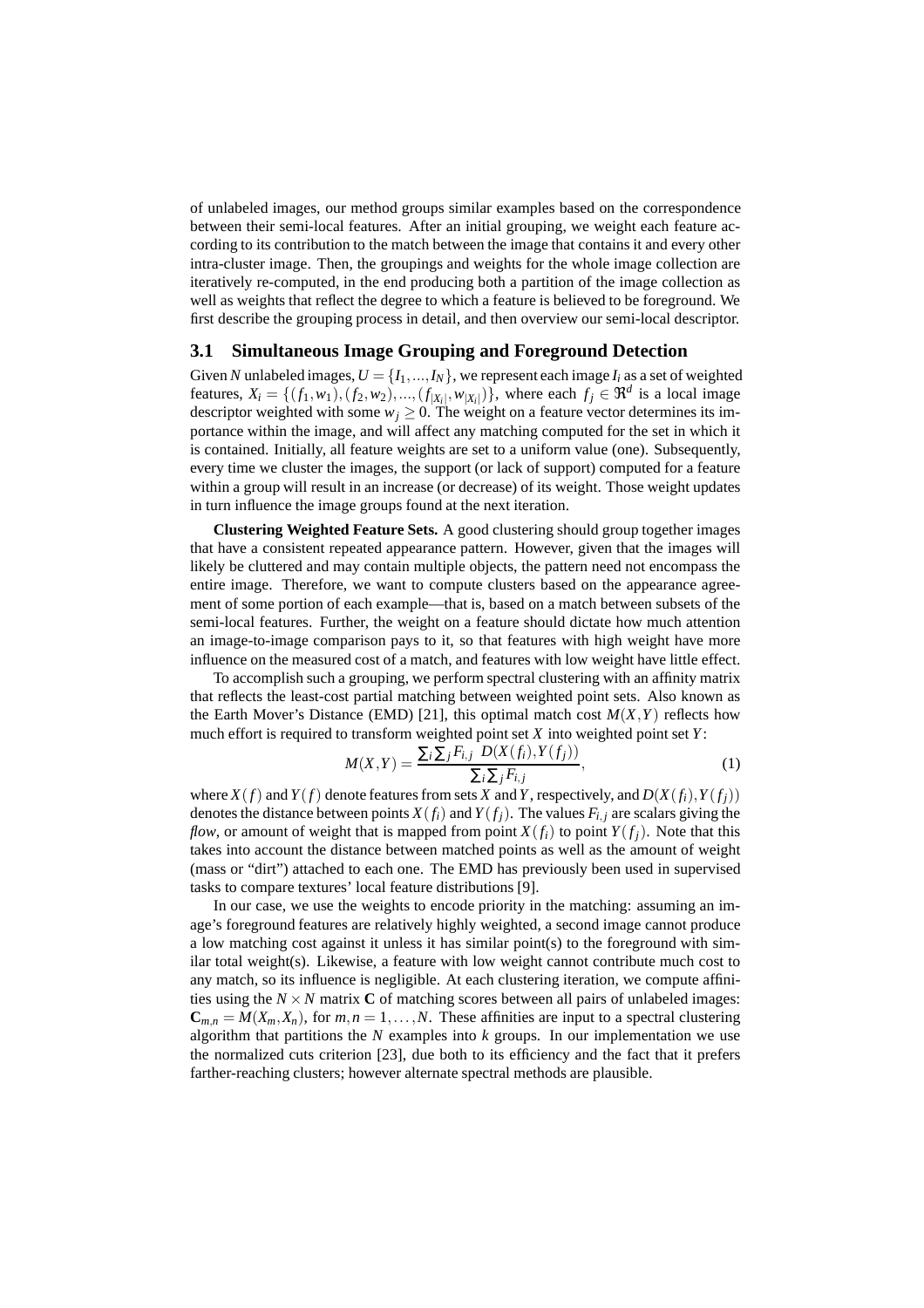of unlabeled images, our method groups similar examples based on the correspondence between their semi-local features. After an initial grouping, we weight each feature according to its contribution to the match between the image that contains it and every other intra-cluster image. Then, the groupings and weights for the whole image collection are iteratively re-computed, in the end producing both a partition of the image collection as well as weights that reflect the degree to which a feature is believed to be foreground. We first describe the grouping process in detail, and then overview our semi-local descriptor.

#### **3.1 Simultaneous Image Grouping and Foreground Detection**

Given *N* unlabeled images,  $U = \{I_1, ..., I_N\}$ , we represent each image  $I_i$  as a set of weighted features,  $X_i = \{(f_1, w_1), (f_2, w_2), ..., (f_{|X_i|}, w_{|X_i|})\}$ , where each  $f_j \in \Re^d$  is a local image descriptor weighted with some  $w_j \ge 0$ . The weight on a feature vector determines its importance within the image, and will affect any matching computed for the set in which it is contained. Initially, all feature weights are set to a uniform value (one). Subsequently, every time we cluster the images, the support (or lack of support) computed for a feature within a group will result in an increase (or decrease) of its weight. Those weight updates in turn influence the image groups found at the next iteration.

**Clustering Weighted Feature Sets.** A good clustering should group together images that have a consistent repeated appearance pattern. However, given that the images will likely be cluttered and may contain multiple objects, the pattern need not encompass the entire image. Therefore, we want to compute clusters based on the appearance agreement of some portion of each example—that is, based on a match between subsets of the semi-local features. Further, the weight on a feature should dictate how much attention an image-to-image comparison pays to it, so that features with high weight have more influence on the measured cost of a match, and features with low weight have little effect.

To accomplish such a grouping, we perform spectral clustering with an affinity matrix that reflects the least-cost partial matching between weighted point sets. Also known as the Earth Mover's Distance (EMD) [21], this optimal match cost  $M(X, Y)$  reflects how much effort is required to transform weighted point set *X* into weighted point set *Y*:

$$
M(X,Y) = \frac{\sum_{i} \sum_{j} F_{i,j} D(X(f_i), Y(f_j))}{\sum_{i} \sum_{j} F_{i,j}},
$$
\n(1)

where  $X(f)$  and  $Y(f)$  denote features from sets *X* and *Y*, respectively, and  $D(X(f_i), Y(f_i))$ denotes the distance between points  $X(f_i)$  and  $Y(f_j)$ . The values  $F_{i,j}$  are scalars giving the *flow*, or amount of weight that is mapped from point  $X(f_i)$  to point  $Y(f_i)$ . Note that this takes into account the distance between matched points as well as the amount of weight (mass or "dirt") attached to each one. The EMD has previously been used in supervised tasks to compare textures' local feature distributions [9].

In our case, we use the weights to encode priority in the matching: assuming an image's foreground features are relatively highly weighted, a second image cannot produce a low matching cost against it unless it has similar point(s) to the foreground with similar total weight(s). Likewise, a feature with low weight cannot contribute much cost to any match, so its influence is negligible. At each clustering iteration, we compute affinities using the  $N \times N$  matrix **C** of matching scores between all pairs of unlabeled images:  $\mathbf{C}_{m,n} = M(X_m, X_n)$ , for  $m, n = 1, \ldots, N$ . These affinities are input to a spectral clustering algorithm that partitions the *N* examples into *k* groups. In our implementation we use the normalized cuts criterion [23], due both to its efficiency and the fact that it prefers farther-reaching clusters; however alternate spectral methods are plausible.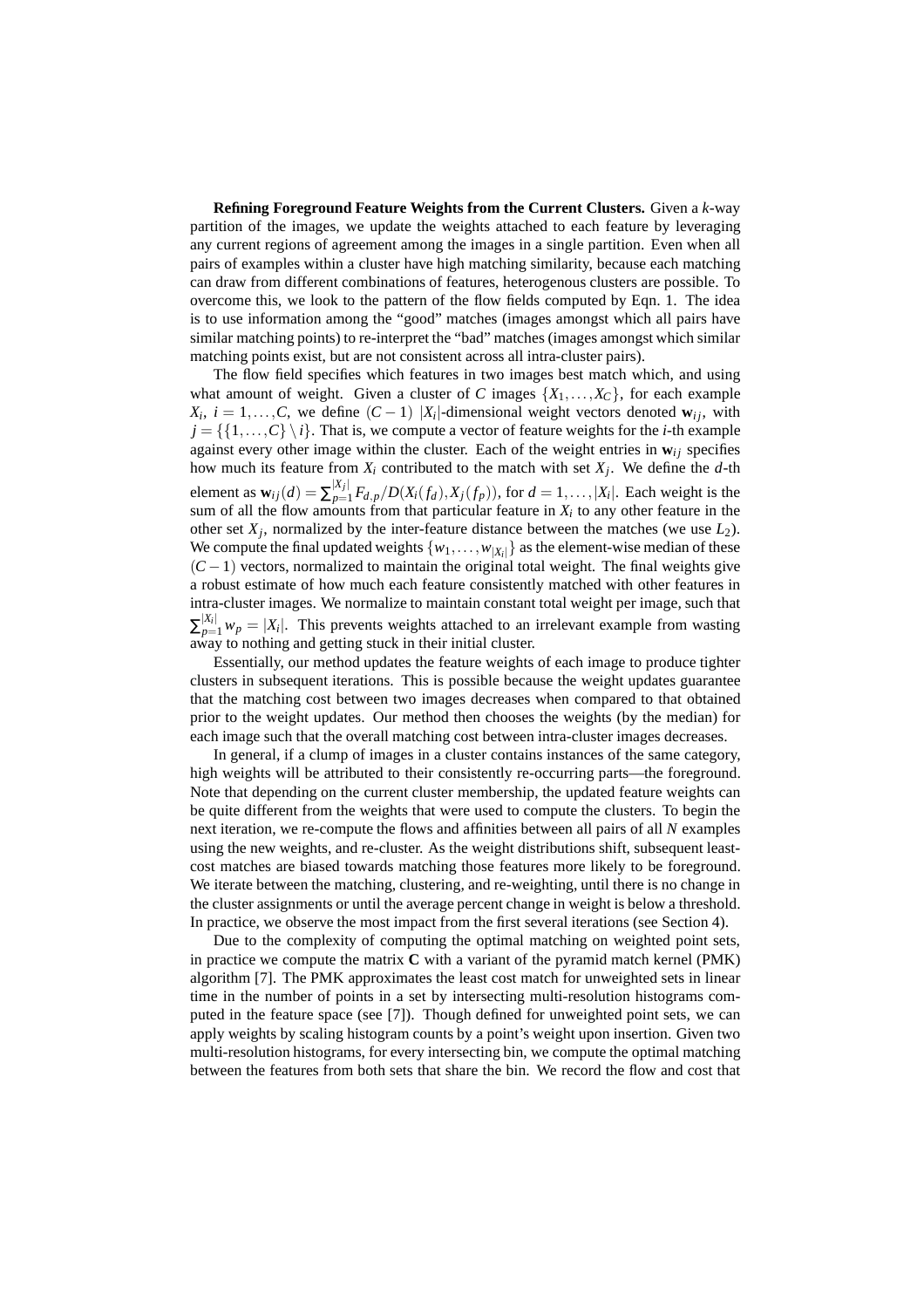**Refining Foreground Feature Weights from the Current Clusters.** Given a *k*-way partition of the images, we update the weights attached to each feature by leveraging any current regions of agreement among the images in a single partition. Even when all pairs of examples within a cluster have high matching similarity, because each matching can draw from different combinations of features, heterogenous clusters are possible. To overcome this, we look to the pattern of the flow fields computed by Eqn. 1. The idea is to use information among the "good" matches (images amongst which all pairs have similar matching points) to re-interpret the "bad" matches (images amongst which similar matching points exist, but are not consistent across all intra-cluster pairs).

The flow field specifies which features in two images best match which, and using what amount of weight. Given a cluster of *C* images  $\{X_1, \ldots, X_C\}$ , for each example  $X_i$ ,  $i = 1,...,C$ , we define  $(C-1)$  | $X_i$ |-dimensional weight vectors denoted  $w_{ij}$ , with  $j = \{ \{1, \ldots, C\} \backslash i \}$ . That is, we compute a vector of feature weights for the *i*-th example against every other image within the cluster. Each of the weight entries in  $w_{ij}$  specifies how much its feature from *X<sup>i</sup>* contributed to the match with set *X<sup>j</sup>* . We define the *d*-th element as  $\mathbf{w}_{ij}(d) = \sum_{n=1}^{|X_j|}$  $p_{p=1}^{|\mathcal{A}_j|} F_{d,p} / D(X_i(f_d), X_j(f_p))$ , for  $d = 1, ..., |X_i|$ . Each weight is the sum of all the flow amounts from that particular feature in  $X_i$  to any other feature in the other set  $X_j$ , normalized by the inter-feature distance between the matches (we use  $L_2$ ). We compute the final updated weights  $\{w_1, \ldots, w_{|X_i|}\}$  as the element-wise median of these  $(C-1)$  vectors, normalized to maintain the original total weight. The final weights give a robust estimate of how much each feature consistently matched with other features in intra-cluster images. We normalize to maintain constant total weight per image, such that  $\sum_{p=1}^{|X_i|} w_p = |X_i|$ . This prevents weights attached to an irrelevant example from wasting away to nothing and getting stuck in their initial cluster.

Essentially, our method updates the feature weights of each image to produce tighter clusters in subsequent iterations. This is possible because the weight updates guarantee that the matching cost between two images decreases when compared to that obtained prior to the weight updates. Our method then chooses the weights (by the median) for each image such that the overall matching cost between intra-cluster images decreases.

In general, if a clump of images in a cluster contains instances of the same category, high weights will be attributed to their consistently re-occurring parts—the foreground. Note that depending on the current cluster membership, the updated feature weights can be quite different from the weights that were used to compute the clusters. To begin the next iteration, we re-compute the flows and affinities between all pairs of all *N* examples using the new weights, and re-cluster. As the weight distributions shift, subsequent leastcost matches are biased towards matching those features more likely to be foreground. We iterate between the matching, clustering, and re-weighting, until there is no change in the cluster assignments or until the average percent change in weight is below a threshold. In practice, we observe the most impact from the first several iterations (see Section 4).

Due to the complexity of computing the optimal matching on weighted point sets, in practice we compute the matrix **C** with a variant of the pyramid match kernel (PMK) algorithm [7]. The PMK approximates the least cost match for unweighted sets in linear time in the number of points in a set by intersecting multi-resolution histograms computed in the feature space (see [7]). Though defined for unweighted point sets, we can apply weights by scaling histogram counts by a point's weight upon insertion. Given two multi-resolution histograms, for every intersecting bin, we compute the optimal matching between the features from both sets that share the bin. We record the flow and cost that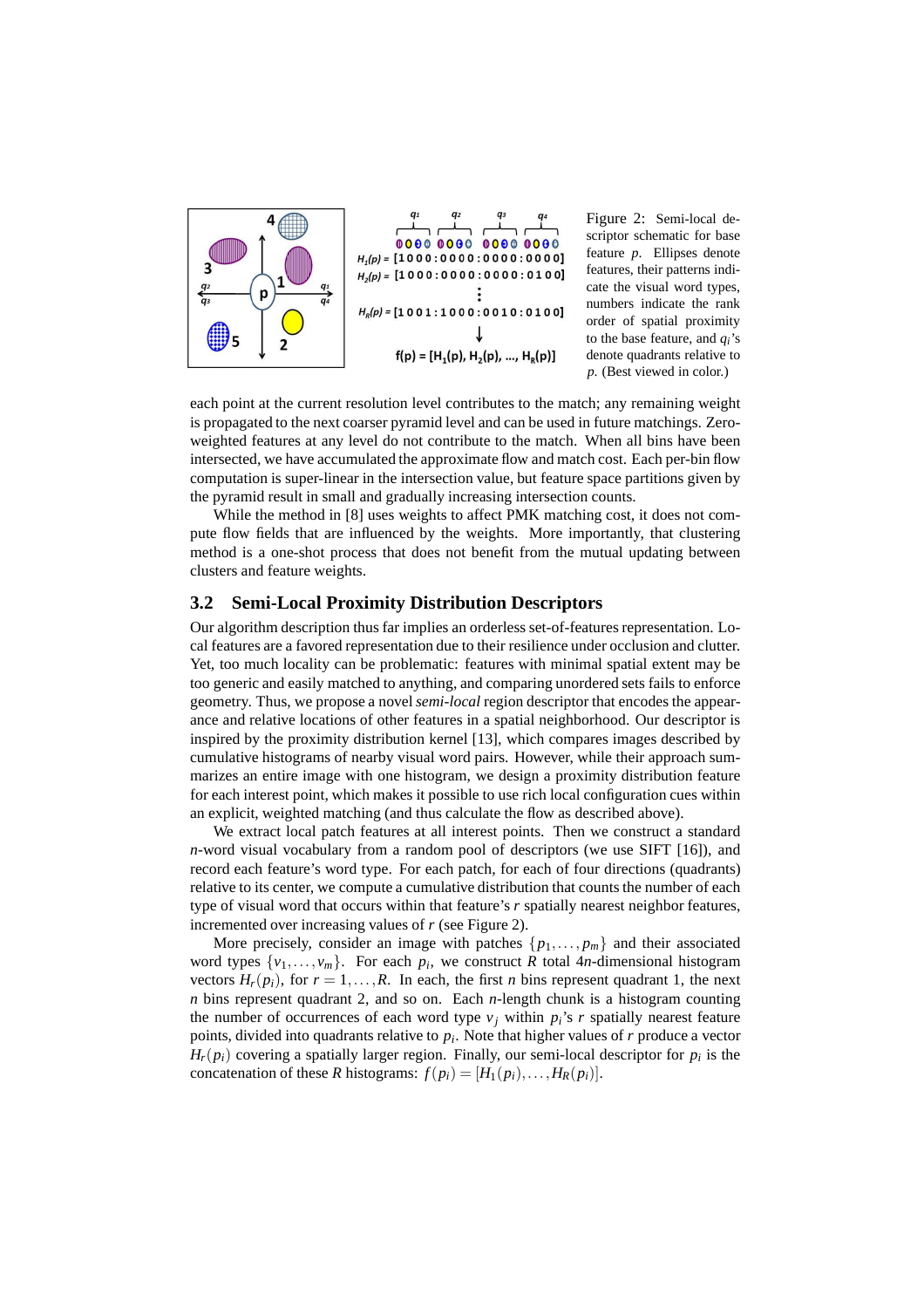

Figure 2: Semi-local descriptor schematic for base feature *p*. Ellipses denote features, their patterns indicate the visual word types, numbers indicate the rank order of spatial proximity to the base feature, and *qi*'s denote quadrants relative to *p*. (Best viewed in color.)

each point at the current resolution level contributes to the match; any remaining weight is propagated to the next coarser pyramid level and can be used in future matchings. Zeroweighted features at any level do not contribute to the match. When all bins have been intersected, we have accumulated the approximate flow and match cost. Each per-bin flow computation is super-linear in the intersection value, but feature space partitions given by the pyramid result in small and gradually increasing intersection counts.

While the method in [8] uses weights to affect PMK matching cost, it does not compute flow fields that are influenced by the weights. More importantly, that clustering method is a one-shot process that does not benefit from the mutual updating between clusters and feature weights.

### **3.2 Semi-Local Proximity Distribution Descriptors**

Our algorithm description thus far implies an orderless set-of-features representation. Local features are a favored representation due to their resilience under occlusion and clutter. Yet, too much locality can be problematic: features with minimal spatial extent may be too generic and easily matched to anything, and comparing unordered sets fails to enforce geometry. Thus, we propose a novel*semi-local* region descriptor that encodes the appearance and relative locations of other features in a spatial neighborhood. Our descriptor is inspired by the proximity distribution kernel [13], which compares images described by cumulative histograms of nearby visual word pairs. However, while their approach summarizes an entire image with one histogram, we design a proximity distribution feature for each interest point, which makes it possible to use rich local configuration cues within an explicit, weighted matching (and thus calculate the flow as described above).

We extract local patch features at all interest points. Then we construct a standard *n*-word visual vocabulary from a random pool of descriptors (we use SIFT [16]), and record each feature's word type. For each patch, for each of four directions (quadrants) relative to its center, we compute a cumulative distribution that counts the number of each type of visual word that occurs within that feature's *r* spatially nearest neighbor features, incremented over increasing values of *r* (see Figure 2).

More precisely, consider an image with patches  $\{p_1, \ldots, p_m\}$  and their associated word types  $\{v_1, \ldots, v_m\}$ . For each  $p_i$ , we construct *R* total 4*n*-dimensional histogram vectors  $H_r(p_i)$ , for  $r = 1, \ldots, R$ . In each, the first *n* bins represent quadrant 1, the next *n* bins represent quadrant 2, and so on. Each *n*-length chunk is a histogram counting the number of occurrences of each word type  $v_j$  within  $pi_i$ 's  $r$  spatially nearest feature points, divided into quadrants relative to *p<sup>i</sup>* . Note that higher values of *r* produce a vector  $H_r(p_i)$  covering a spatially larger region. Finally, our semi-local descriptor for  $p_i$  is the concatenation of these *R* histograms:  $f(p_i) = [H_1(p_i), \ldots, H_R(p_i)].$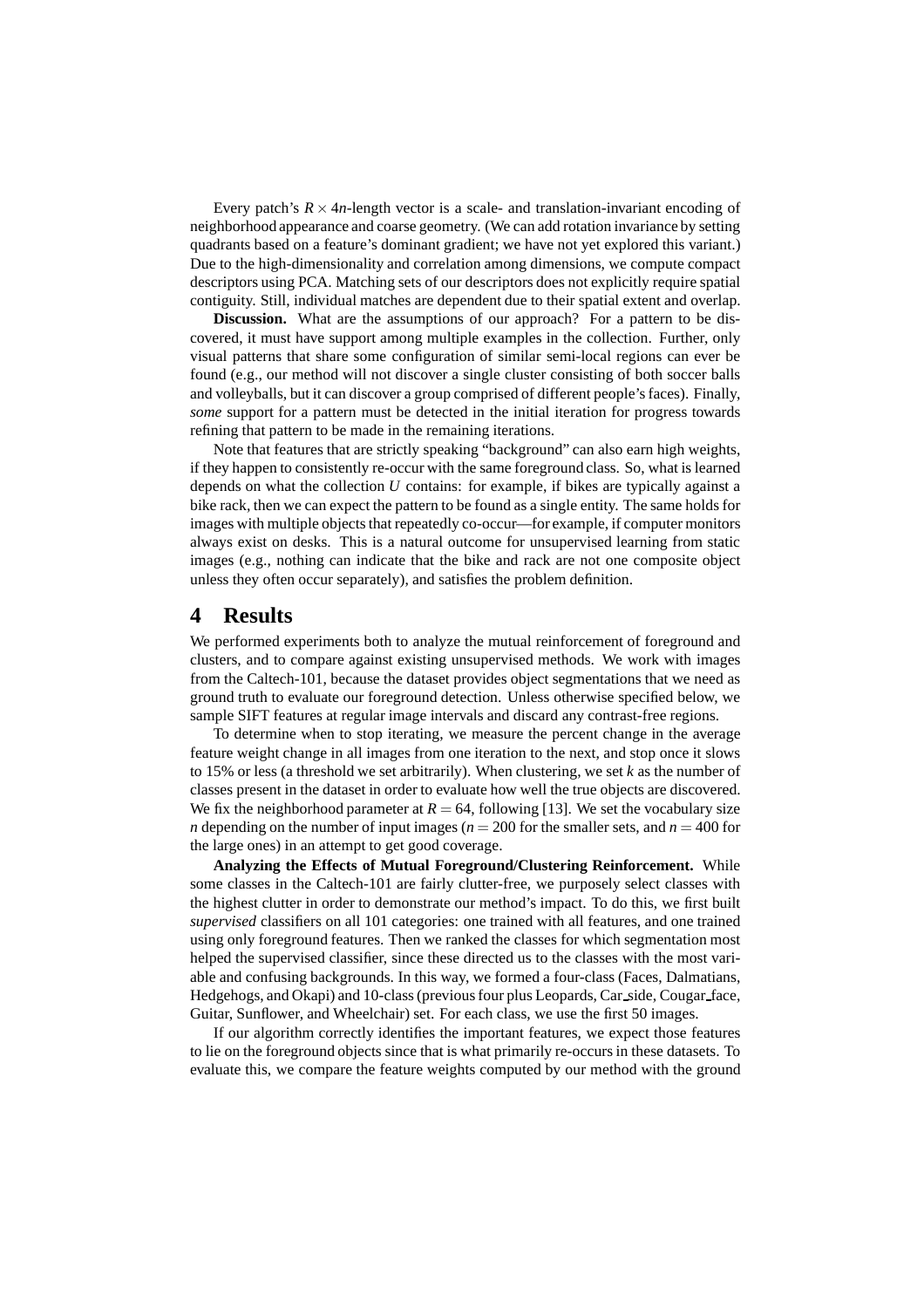Every patch's  $R \times 4n$ -length vector is a scale- and translation-invariant encoding of neighborhood appearance and coarse geometry. (We can add rotation invariance by setting quadrants based on a feature's dominant gradient; we have not yet explored this variant.) Due to the high-dimensionality and correlation among dimensions, we compute compact descriptors using PCA. Matching sets of our descriptors does not explicitly require spatial contiguity. Still, individual matches are dependent due to their spatial extent and overlap.

**Discussion.** What are the assumptions of our approach? For a pattern to be discovered, it must have support among multiple examples in the collection. Further, only visual patterns that share some configuration of similar semi-local regions can ever be found (e.g., our method will not discover a single cluster consisting of both soccer balls and volleyballs, but it can discover a group comprised of different people's faces). Finally, *some* support for a pattern must be detected in the initial iteration for progress towards refining that pattern to be made in the remaining iterations.

Note that features that are strictly speaking "background" can also earn high weights, if they happen to consistently re-occur with the same foreground class. So, what is learned depends on what the collection *U* contains: for example, if bikes are typically against a bike rack, then we can expect the pattern to be found as a single entity. The same holds for images with multiple objects that repeatedly co-occur—for example, if computer monitors always exist on desks. This is a natural outcome for unsupervised learning from static images (e.g., nothing can indicate that the bike and rack are not one composite object unless they often occur separately), and satisfies the problem definition.

### **4 Results**

We performed experiments both to analyze the mutual reinforcement of foreground and clusters, and to compare against existing unsupervised methods. We work with images from the Caltech-101, because the dataset provides object segmentations that we need as ground truth to evaluate our foreground detection. Unless otherwise specified below, we sample SIFT features at regular image intervals and discard any contrast-free regions.

To determine when to stop iterating, we measure the percent change in the average feature weight change in all images from one iteration to the next, and stop once it slows to 15% or less (a threshold we set arbitrarily). When clustering, we set *k* as the number of classes present in the dataset in order to evaluate how well the true objects are discovered. We fix the neighborhood parameter at  $R = 64$ , following [13]. We set the vocabulary size *n* depending on the number of input images ( $n = 200$  for the smaller sets, and  $n = 400$  for the large ones) in an attempt to get good coverage.

**Analyzing the Effects of Mutual Foreground/Clustering Reinforcement.** While some classes in the Caltech-101 are fairly clutter-free, we purposely select classes with the highest clutter in order to demonstrate our method's impact. To do this, we first built *supervised* classifiers on all 101 categories: one trained with all features, and one trained using only foreground features. Then we ranked the classes for which segmentation most helped the supervised classifier, since these directed us to the classes with the most variable and confusing backgrounds. In this way, we formed a four-class (Faces, Dalmatians, Hedgehogs, and Okapi) and 10-class (previous four plus Leopards, Car side, Cougar face, Guitar, Sunflower, and Wheelchair) set. For each class, we use the first 50 images.

If our algorithm correctly identifies the important features, we expect those features to lie on the foreground objects since that is what primarily re-occurs in these datasets. To evaluate this, we compare the feature weights computed by our method with the ground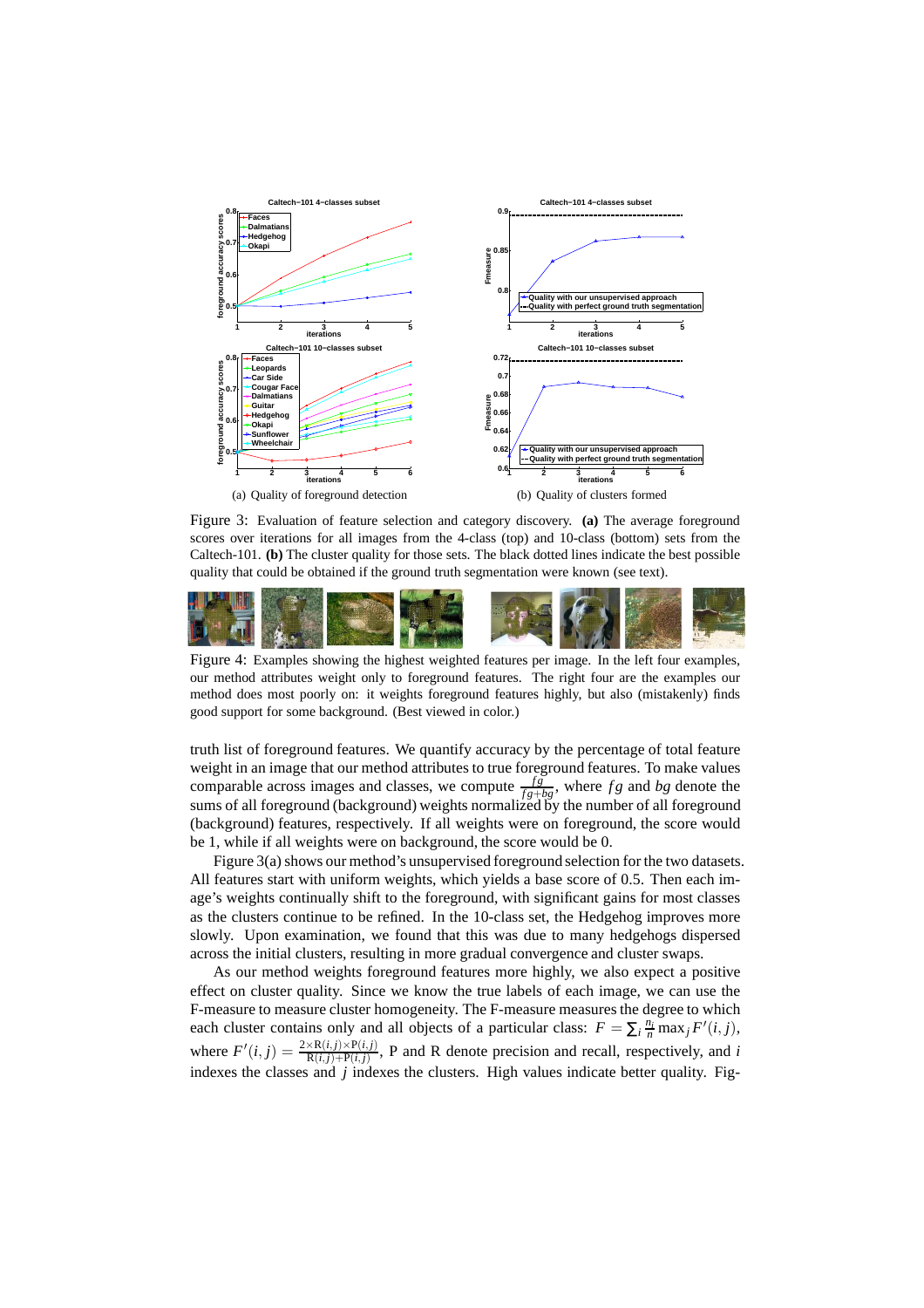

Figure 3: Evaluation of feature selection and category discovery. **(a)** The average foreground scores over iterations for all images from the 4-class (top) and 10-class (bottom) sets from the Caltech-101. **(b)** The cluster quality for those sets. The black dotted lines indicate the best possible quality that could be obtained if the ground truth segmentation were known (see text).



Figure 4: Examples showing the highest weighted features per image. In the left four examples, our method attributes weight only to foreground features. The right four are the examples our method does most poorly on: it weights foreground features highly, but also (mistakenly) finds good support for some background. (Best viewed in color.)

truth list of foreground features. We quantify accuracy by the percentage of total feature weight in an image that our method attributes to true foreground features. To make values comparable across images and classes, we compute  $\frac{fg}{fs+bg}$ , where fg and bg denote the sums of all foreground (background) weights normalized by the number of all foreground (background) features, respectively. If all weights were on foreground, the score would be 1, while if all weights were on background, the score would be 0.

Figure 3(a) shows our method's unsupervised foreground selection for the two datasets. All features start with uniform weights, which yields a base score of 0.5. Then each image's weights continually shift to the foreground, with significant gains for most classes as the clusters continue to be refined. In the 10-class set, the Hedgehog improves more slowly. Upon examination, we found that this was due to many hedgehogs dispersed across the initial clusters, resulting in more gradual convergence and cluster swaps.

As our method weights foreground features more highly, we also expect a positive effect on cluster quality. Since we know the true labels of each image, we can use the F-measure to measure cluster homogeneity. The F-measure measures the degree to which each cluster contains only and all objects of a particular class:  $F = \sum_i \frac{n_i}{n} \max_j F'(i, j)$ , where  $F'(i, j) = \frac{2 \times R(i, j) \times P(i, j)}{R(i, j) + P(i, j)}$ , P and R denote precision and recall, respectively, and *i* indexes the classes and *j* indexes the clusters. High values indicate better quality. Fig-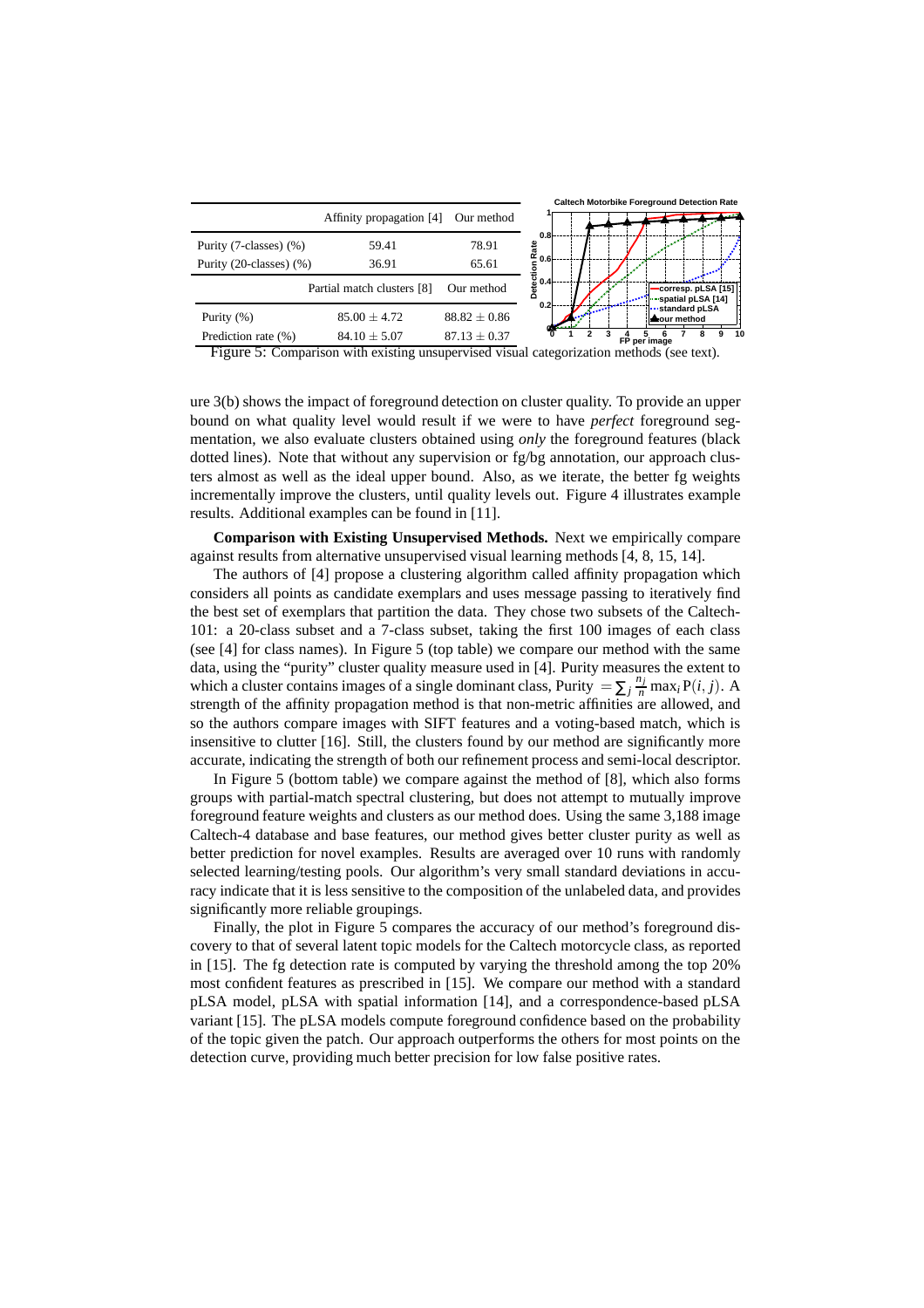|                          |                            |                  | <b>Caltech Motorbike Foreground Detection Rate</b>              |
|--------------------------|----------------------------|------------------|-----------------------------------------------------------------|
|                          | Affinity propagation [4]   | Our method       |                                                                 |
| Purity (7-classes) (%)   | 59.41                      | 78.91            | 0.8 <sub>k</sub><br>읇                                           |
| Purity (20-classes) (%)  | 36.91                      | 65.61            | <sup>r.</sup> 0.6                                               |
|                          | Partial match clusters [8] | Our method       | Detecti<br>Detect<br>corresp. pLSA [15]<br>·· spatial pLSA [14] |
| Purity (%)               | $85.00 \pm 4.72$           | $88.82 \pm 0.86$ | 0.2 <sub>1</sub><br>standard pLSA<br>▲our method                |
| Prediction rate (%)<br>ļ | $84.10 \pm 5.07$           | $87.13 \pm 0.37$ | 10<br>ឧ<br>9<br>FP per image                                    |

Figure 5: Comparison with existing unsupervised visual categorization methods (see text).

ure 3(b) shows the impact of foreground detection on cluster quality. To provide an upper bound on what quality level would result if we were to have *perfect* foreground segmentation, we also evaluate clusters obtained using *only* the foreground features (black dotted lines). Note that without any supervision or fg/bg annotation, our approach clusters almost as well as the ideal upper bound. Also, as we iterate, the better fg weights incrementally improve the clusters, until quality levels out. Figure 4 illustrates example results. Additional examples can be found in [11].

**Comparison with Existing Unsupervised Methods.** Next we empirically compare against results from alternative unsupervised visual learning methods [4, 8, 15, 14].

The authors of [4] propose a clustering algorithm called affinity propagation which considers all points as candidate exemplars and uses message passing to iteratively find the best set of exemplars that partition the data. They chose two subsets of the Caltech-101: a 20-class subset and a 7-class subset, taking the first 100 images of each class (see [4] for class names). In Figure 5 (top table) we compare our method with the same data, using the "purity" cluster quality measure used in [4]. Purity measures the extent to which a cluster contains images of a single dominant class, Purity  $= \sum_j \frac{n_j}{n} \max_i P(i, j)$ . A strength of the affinity propagation method is that non-metric affinities are allowed, and so the authors compare images with SIFT features and a voting-based match, which is insensitive to clutter [16]. Still, the clusters found by our method are significantly more accurate, indicating the strength of both our refinement process and semi-local descriptor.

In Figure 5 (bottom table) we compare against the method of [8], which also forms groups with partial-match spectral clustering, but does not attempt to mutually improve foreground feature weights and clusters as our method does. Using the same 3,188 image Caltech-4 database and base features, our method gives better cluster purity as well as better prediction for novel examples. Results are averaged over 10 runs with randomly selected learning/testing pools. Our algorithm's very small standard deviations in accuracy indicate that it is less sensitive to the composition of the unlabeled data, and provides significantly more reliable groupings.

Finally, the plot in Figure 5 compares the accuracy of our method's foreground discovery to that of several latent topic models for the Caltech motorcycle class, as reported in [15]. The fg detection rate is computed by varying the threshold among the top 20% most confident features as prescribed in [15]. We compare our method with a standard pLSA model, pLSA with spatial information [14], and a correspondence-based pLSA variant [15]. The pLSA models compute foreground confidence based on the probability of the topic given the patch. Our approach outperforms the others for most points on the detection curve, providing much better precision for low false positive rates.